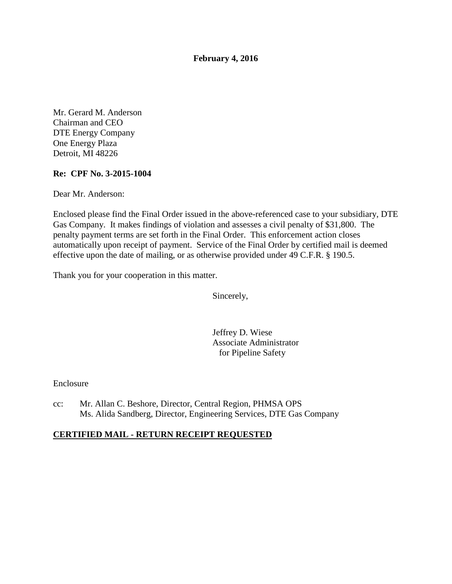**February 4, 2016** 

Mr. Gerard M. Anderson Chairman and CEO DTE Energy Company One Energy Plaza Detroit, MI 48226

#### **Re: CPF No. 3-2015-1004**

Dear Mr. Anderson:

Enclosed please find the Final Order issued in the above-referenced case to your subsidiary, DTE Gas Company. It makes findings of violation and assesses a civil penalty of \$31,800. The penalty payment terms are set forth in the Final Order. This enforcement action closes automatically upon receipt of payment. Service of the Final Order by certified mail is deemed effective upon the date of mailing, or as otherwise provided under 49 C.F.R. § 190.5.

Thank you for your cooperation in this matter.

Sincerely,

Jeffrey D. Wiese Associate Administrator for Pipeline Safety

Enclosure

cc: Mr. Allan C. Beshore, Director, Central Region, PHMSA OPS Ms. Alida Sandberg, Director, Engineering Services, DTE Gas Company

# **CERTIFIED MAIL - RETURN RECEIPT REQUESTED**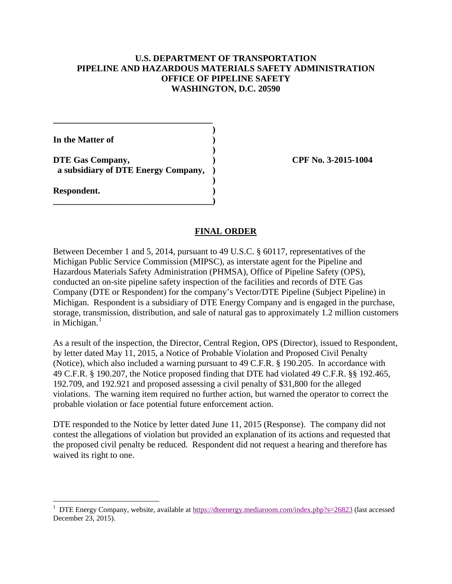#### **U.S. DEPARTMENT OF TRANSPORTATION PIPELINE AND HAZARDOUS MATERIALS SAFETY ADMINISTRATION OFFICE OF PIPELINE SAFETY WASHINGTON, D.C. 20590**

| In the Matter of                                        |  |
|---------------------------------------------------------|--|
| DTE Gas Company,<br>a subsidiary of DTE Energy Company, |  |
| Respondent.                                             |  |

 $\overline{a}$ 

**\_\_\_\_\_\_\_\_\_\_\_\_\_\_\_\_\_\_\_\_\_\_\_\_\_\_\_\_\_\_\_\_\_\_\_\_** 

**DTE Gas Company, ) CPF No. 3-2015-1004**

#### **FINAL ORDER**

Between December 1 and 5, 2014, pursuant to 49 U.S.C. § 60117, representatives of the Michigan Public Service Commission (MIPSC), as interstate agent for the Pipeline and Hazardous Materials Safety Administration (PHMSA), Office of Pipeline Safety (OPS), conducted an on-site pipeline safety inspection of the facilities and records of DTE Gas Company (DTE or Respondent) for the company's Vector/DTE Pipeline (Subject Pipeline) in Michigan. Respondent is a subsidiary of DTE Energy Company and is engaged in the purchase, storage, transmission, distribution, and sale of natural gas to approximately 1.2 million customers in Michigan. $<sup>1</sup>$ </sup>

As a result of the inspection, the Director, Central Region, OPS (Director), issued to Respondent, by letter dated May 11, 2015, a Notice of Probable Violation and Proposed Civil Penalty (Notice), which also included a warning pursuant to 49 C.F.R. § 190.205. In accordance with 49 C.F.R. § 190.207, the Notice proposed finding that DTE had violated 49 C.F.R. §§ 192.465, 192.709, and 192.921 and proposed assessing a civil penalty of \$31,800 for the alleged violations. The warning item required no further action, but warned the operator to correct the probable violation or face potential future enforcement action.

DTE responded to the Notice by letter dated June 11, 2015 (Response). The company did not contest the allegations of violation but provided an explanation of its actions and requested that the proposed civil penalty be reduced. Respondent did not request a hearing and therefore has waived its right to one.

<sup>&</sup>lt;sup>1</sup> DTE Energy Company, website, available at https://dteenergy.mediaroom.com/index.php?s=26823 (last accessed December 23, 2015).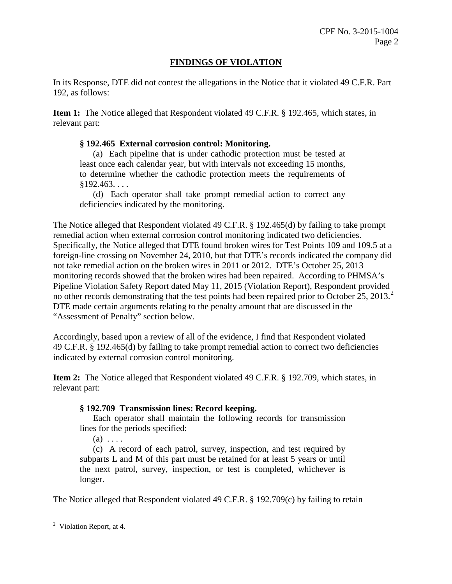# **FINDINGS OF VIOLATION**

In its Response, DTE did not contest the allegations in the Notice that it violated 49 C.F.R. Part 192, as follows:

**Item 1:** The Notice alleged that Respondent violated 49 C.F.R. § 192.465, which states, in relevant part:

#### **§ 192.465 External corrosion control: Monitoring.**

(a) Each pipeline that is under cathodic protection must be tested at least once each calendar year, but with intervals not exceeding 15 months, to determine whether the cathodic protection meets the requirements of  $$192.463...$ 

(d) Each operator shall take prompt remedial action to correct any deficiencies indicated by the monitoring.

The Notice alleged that Respondent violated 49 C.F.R. § 192.465(d) by failing to take prompt remedial action when external corrosion control monitoring indicated two deficiencies. Specifically, the Notice alleged that DTE found broken wires for Test Points 109 and 109.5 at a foreign-line crossing on November 24, 2010, but that DTE's records indicated the company did not take remedial action on the broken wires in 2011 or 2012. DTE's October 25, 2013 monitoring records showed that the broken wires had been repaired. According to PHMSA's Pipeline Violation Safety Report dated May 11, 2015 (Violation Report), Respondent provided no other records demonstrating that the test points had been repaired prior to October 25, 2013.<sup>2</sup> DTE made certain arguments relating to the penalty amount that are discussed in the "Assessment of Penalty" section below.

Accordingly, based upon a review of all of the evidence, I find that Respondent violated 49 C.F.R. § 192.465(d) by failing to take prompt remedial action to correct two deficiencies indicated by external corrosion control monitoring.

**Item 2:** The Notice alleged that Respondent violated 49 C.F.R. § 192.709, which states, in relevant part:

# **§ 192.709 Transmission lines: Record keeping.**

Each operator shall maintain the following records for transmission lines for the periods specified:

 $(a) \ldots$ 

(c) A record of each patrol, survey, inspection, and test required by subparts L and M of this part must be retained for at least 5 years or until the next patrol, survey, inspection, or test is completed, whichever is longer.

The Notice alleged that Respondent violated 49 C.F.R. § 192.709(c) by failing to retain

 $\overline{a}$ <sup>2</sup> Violation Report, at 4.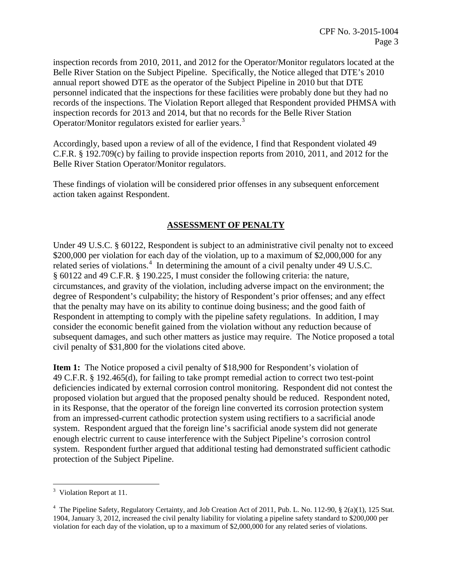inspection records from 2010, 2011, and 2012 for the Operator/Monitor regulators located at the Belle River Station on the Subject Pipeline. Specifically, the Notice alleged that DTE's 2010 annual report showed DTE as the operator of the Subject Pipeline in 2010 but that DTE personnel indicated that the inspections for these facilities were probably done but they had no records of the inspections. The Violation Report alleged that Respondent provided PHMSA with inspection records for 2013 and 2014, but that no records for the Belle River Station Operator/Monitor regulators existed for earlier years.<sup>3</sup>

Accordingly, based upon a review of all of the evidence, I find that Respondent violated 49 C.F.R. § 192.709(c) by failing to provide inspection reports from 2010, 2011, and 2012 for the Belle River Station Operator/Monitor regulators.

These findings of violation will be considered prior offenses in any subsequent enforcement action taken against Respondent.

# **ASSESSMENT OF PENALTY**

Under 49 U.S.C. § 60122, Respondent is subject to an administrative civil penalty not to exceed \$200,000 per violation for each day of the violation, up to a maximum of \$2,000,000 for any related series of violations.<sup>4</sup> In determining the amount of a civil penalty under 49 U.S.C. § 60122 and 49 C.F.R. § 190.225, I must consider the following criteria: the nature, circumstances, and gravity of the violation, including adverse impact on the environment; the degree of Respondent's culpability; the history of Respondent's prior offenses; and any effect that the penalty may have on its ability to continue doing business; and the good faith of Respondent in attempting to comply with the pipeline safety regulations. In addition, I may consider the economic benefit gained from the violation without any reduction because of subsequent damages, and such other matters as justice may require. The Notice proposed a total civil penalty of \$31,800 for the violations cited above.

**Item 1:** The Notice proposed a civil penalty of \$18,900 for Respondent's violation of 49 C.F.R. § 192.465(d), for failing to take prompt remedial action to correct two test-point deficiencies indicated by external corrosion control monitoring. Respondent did not contest the proposed violation but argued that the proposed penalty should be reduced. Respondent noted, in its Response, that the operator of the foreign line converted its corrosion protection system from an impressed-current cathodic protection system using rectifiers to a sacrificial anode system. Respondent argued that the foreign line's sacrificial anode system did not generate enough electric current to cause interference with the Subject Pipeline's corrosion control system. Respondent further argued that additional testing had demonstrated sufficient cathodic protection of the Subject Pipeline.

<sup>&</sup>lt;sup>3</sup> Violation Report at 11.

<sup>&</sup>lt;sup>4</sup> The Pipeline Safety, Regulatory Certainty, and Job Creation Act of 2011, Pub. L. No. 112-90, § 2(a)(1), 125 Stat. 1904, January 3, 2012, increased the civil penalty liability for violating a pipeline safety standard to \$200,000 per violation for each day of the violation, up to a maximum of \$2,000,000 for any related series of violations.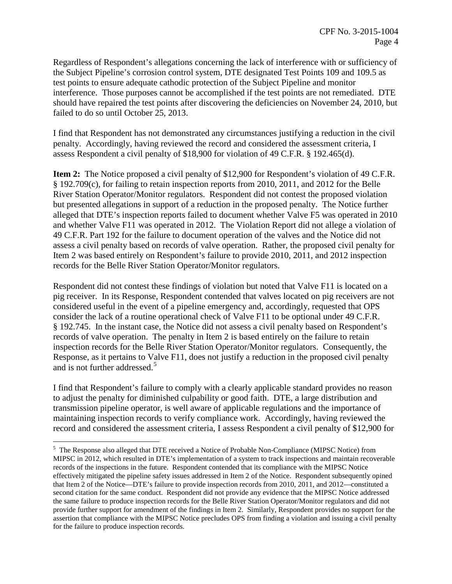Regardless of Respondent's allegations concerning the lack of interference with or sufficiency of the Subject Pipeline's corrosion control system, DTE designated Test Points 109 and 109.5 as test points to ensure adequate cathodic protection of the Subject Pipeline and monitor interference. Those purposes cannot be accomplished if the test points are not remediated. DTE should have repaired the test points after discovering the deficiencies on November 24, 2010, but failed to do so until October 25, 2013.

I find that Respondent has not demonstrated any circumstances justifying a reduction in the civil penalty. Accordingly, having reviewed the record and considered the assessment criteria, I assess Respondent a civil penalty of \$18,900 for violation of 49 C.F.R. § 192.465(d).

**Item 2:** The Notice proposed a civil penalty of \$12,900 for Respondent's violation of 49 C.F.R. § 192.709(c), for failing to retain inspection reports from 2010, 2011, and 2012 for the Belle River Station Operator/Monitor regulators. Respondent did not contest the proposed violation but presented allegations in support of a reduction in the proposed penalty. The Notice further alleged that DTE's inspection reports failed to document whether Valve F5 was operated in 2010 and whether Valve F11 was operated in 2012. The Violation Report did not allege a violation of 49 C.F.R. Part 192 for the failure to document operation of the valves and the Notice did not assess a civil penalty based on records of valve operation. Rather, the proposed civil penalty for Item 2 was based entirely on Respondent's failure to provide 2010, 2011, and 2012 inspection records for the Belle River Station Operator/Monitor regulators.

Respondent did not contest these findings of violation but noted that Valve F11 is located on a pig receiver. In its Response, Respondent contended that valves located on pig receivers are not considered useful in the event of a pipeline emergency and, accordingly, requested that OPS consider the lack of a routine operational check of Valve F11 to be optional under 49 C.F.R. § 192.745. In the instant case, the Notice did not assess a civil penalty based on Respondent's records of valve operation. The penalty in Item 2 is based entirely on the failure to retain inspection records for the Belle River Station Operator/Monitor regulators. Consequently, the Response, as it pertains to Valve F11, does not justify a reduction in the proposed civil penalty and is not further addressed.<sup>5</sup>

I find that Respondent's failure to comply with a clearly applicable standard provides no reason to adjust the penalty for diminished culpability or good faith. DTE, a large distribution and transmission pipeline operator, is well aware of applicable regulations and the importance of maintaining inspection records to verify compliance work. Accordingly, having reviewed the record and considered the assessment criteria, I assess Respondent a civil penalty of \$12,900 for

 $\overline{a}$ 

<sup>&</sup>lt;sup>5</sup> The Response also alleged that DTE received a Notice of Probable Non-Compliance (MIPSC Notice) from MIPSC in 2012, which resulted in DTE's implementation of a system to track inspections and maintain recoverable records of the inspections in the future. Respondent contended that its compliance with the MIPSC Notice effectively mitigated the pipeline safety issues addressed in Item 2 of the Notice. Respondent subsequently opined that Item 2 of the Notice—DTE's failure to provide inspection records from 2010, 2011, and 2012—constituted a second citation for the same conduct. Respondent did not provide any evidence that the MIPSC Notice addressed the same failure to produce inspection records for the Belle River Station Operator/Monitor regulators and did not provide further support for amendment of the findings in Item 2. Similarly, Respondent provides no support for the assertion that compliance with the MIPSC Notice precludes OPS from finding a violation and issuing a civil penalty for the failure to produce inspection records.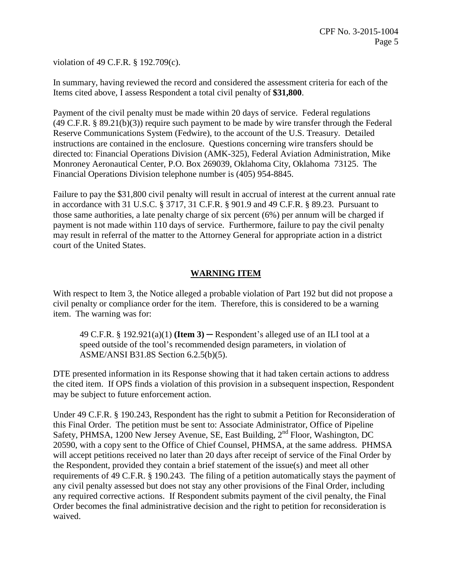violation of 49 C.F.R. § 192.709(c).

In summary, having reviewed the record and considered the assessment criteria for each of the Items cited above, I assess Respondent a total civil penalty of **\$31,800**.

Payment of the civil penalty must be made within 20 days of service. Federal regulations (49 C.F.R. § 89.21(b)(3)) require such payment to be made by wire transfer through the Federal Reserve Communications System (Fedwire), to the account of the U.S. Treasury. Detailed instructions are contained in the enclosure. Questions concerning wire transfers should be directed to: Financial Operations Division (AMK-325), Federal Aviation Administration, Mike Monroney Aeronautical Center, P.O. Box 269039, Oklahoma City, Oklahoma 73125. The Financial Operations Division telephone number is (405) 954-8845.

Failure to pay the \$31,800 civil penalty will result in accrual of interest at the current annual rate in accordance with 31 U.S.C. § 3717, 31 C.F.R. § 901.9 and 49 C.F.R. § 89.23. Pursuant to those same authorities, a late penalty charge of six percent (6%) per annum will be charged if payment is not made within 110 days of service. Furthermore, failure to pay the civil penalty may result in referral of the matter to the Attorney General for appropriate action in a district court of the United States.

# **WARNING ITEM**

With respect to Item 3, the Notice alleged a probable violation of Part 192 but did not propose a civil penalty or compliance order for the item. Therefore, this is considered to be a warning item. The warning was for:

49 C.F.R. § 192.921(a)(1) **(Item 3)** ─ Respondent's alleged use of an ILI tool at a speed outside of the tool's recommended design parameters, in violation of ASME/ANSI B31.8S Section 6.2.5(b)(5).

DTE presented information in its Response showing that it had taken certain actions to address the cited item. If OPS finds a violation of this provision in a subsequent inspection, Respondent may be subject to future enforcement action.

Under 49 C.F.R. § 190.243, Respondent has the right to submit a Petition for Reconsideration of this Final Order. The petition must be sent to: Associate Administrator, Office of Pipeline Safety, PHMSA, 1200 New Jersey Avenue, SE, East Building, 2<sup>nd</sup> Floor, Washington, DC 20590, with a copy sent to the Office of Chief Counsel, PHMSA, at the same address. PHMSA will accept petitions received no later than 20 days after receipt of service of the Final Order by the Respondent, provided they contain a brief statement of the issue(s) and meet all other requirements of 49 C.F.R. § 190.243. The filing of a petition automatically stays the payment of any civil penalty assessed but does not stay any other provisions of the Final Order, including any required corrective actions. If Respondent submits payment of the civil penalty, the Final Order becomes the final administrative decision and the right to petition for reconsideration is waived.